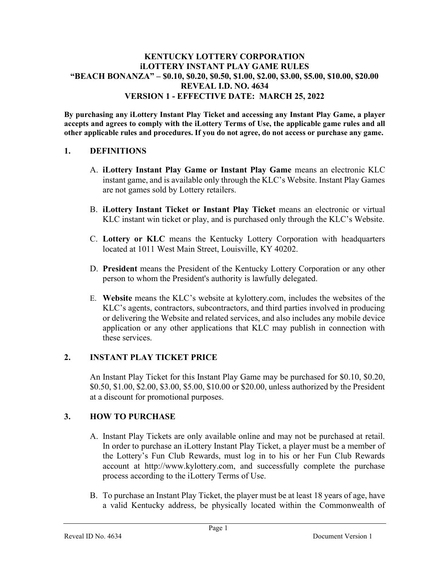#### KENTUCKY LOTTERY CORPORATION iLOTTERY INSTANT PLAY GAME RULES "BEACH BONANZA" – \$0.10, \$0.20, \$0.50, \$1.00, \$2.00, \$3.00, \$5.00, \$10.00, \$20.00 REVEAL I.D. NO. 4634 VERSION 1 - EFFECTIVE DATE: MARCH 25, 2022

By purchasing any iLottery Instant Play Ticket and accessing any Instant Play Game, a player accepts and agrees to comply with the iLottery Terms of Use, the applicable game rules and all other applicable rules and procedures. If you do not agree, do not access or purchase any game.

### 1. DEFINITIONS

- A. iLottery Instant Play Game or Instant Play Game means an electronic KLC instant game, and is available only through the KLC's Website. Instant Play Games are not games sold by Lottery retailers.
- B. iLottery Instant Ticket or Instant Play Ticket means an electronic or virtual KLC instant win ticket or play, and is purchased only through the KLC's Website.
- C. Lottery or KLC means the Kentucky Lottery Corporation with headquarters located at 1011 West Main Street, Louisville, KY 40202.
- D. President means the President of the Kentucky Lottery Corporation or any other person to whom the President's authority is lawfully delegated.
- E. Website means the KLC's website at kylottery.com, includes the websites of the KLC's agents, contractors, subcontractors, and third parties involved in producing or delivering the Website and related services, and also includes any mobile device application or any other applications that KLC may publish in connection with these services.

## 2. INSTANT PLAY TICKET PRICE

An Instant Play Ticket for this Instant Play Game may be purchased for \$0.10, \$0.20, \$0.50, \$1.00, \$2.00, \$3.00, \$5.00, \$10.00 or \$20.00, unless authorized by the President at a discount for promotional purposes.

## 3. HOW TO PURCHASE

- A. Instant Play Tickets are only available online and may not be purchased at retail. In order to purchase an iLottery Instant Play Ticket, a player must be a member of the Lottery's Fun Club Rewards, must log in to his or her Fun Club Rewards account at http://www.kylottery.com, and successfully complete the purchase process according to the iLottery Terms of Use.
- B. To purchase an Instant Play Ticket, the player must be at least 18 years of age, have a valid Kentucky address, be physically located within the Commonwealth of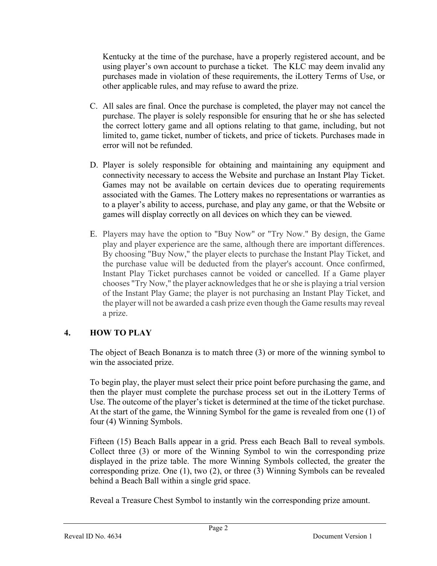Kentucky at the time of the purchase, have a properly registered account, and be using player's own account to purchase a ticket. The KLC may deem invalid any purchases made in violation of these requirements, the iLottery Terms of Use, or other applicable rules, and may refuse to award the prize.

- C. All sales are final. Once the purchase is completed, the player may not cancel the purchase. The player is solely responsible for ensuring that he or she has selected the correct lottery game and all options relating to that game, including, but not limited to, game ticket, number of tickets, and price of tickets. Purchases made in error will not be refunded.
- D. Player is solely responsible for obtaining and maintaining any equipment and connectivity necessary to access the Website and purchase an Instant Play Ticket. Games may not be available on certain devices due to operating requirements associated with the Games. The Lottery makes no representations or warranties as to a player's ability to access, purchase, and play any game, or that the Website or games will display correctly on all devices on which they can be viewed.
- E. Players may have the option to "Buy Now" or "Try Now." By design, the Game play and player experience are the same, although there are important differences. By choosing "Buy Now," the player elects to purchase the Instant Play Ticket, and the purchase value will be deducted from the player's account. Once confirmed, Instant Play Ticket purchases cannot be voided or cancelled. If a Game player chooses "Try Now," the player acknowledges that he or she is playing a trial version of the Instant Play Game; the player is not purchasing an Instant Play Ticket, and the player will not be awarded a cash prize even though the Game results may reveal a prize.

## 4. HOW TO PLAY

The object of Beach Bonanza is to match three (3) or more of the winning symbol to win the associated prize.

To begin play, the player must select their price point before purchasing the game, and then the player must complete the purchase process set out in the iLottery Terms of Use. The outcome of the player's ticket is determined at the time of the ticket purchase. At the start of the game, the Winning Symbol for the game is revealed from one (1) of four (4) Winning Symbols.

Fifteen (15) Beach Balls appear in a grid. Press each Beach Ball to reveal symbols. Collect three (3) or more of the Winning Symbol to win the corresponding prize displayed in the prize table. The more Winning Symbols collected, the greater the corresponding prize. One (1), two (2), or three (3) Winning Symbols can be revealed behind a Beach Ball within a single grid space.

Reveal a Treasure Chest Symbol to instantly win the corresponding prize amount.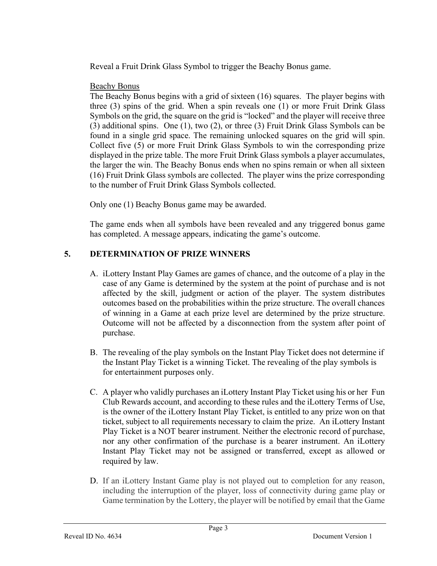Reveal a Fruit Drink Glass Symbol to trigger the Beachy Bonus game.

### Beachy Bonus

The Beachy Bonus begins with a grid of sixteen (16) squares. The player begins with three (3) spins of the grid. When a spin reveals one (1) or more Fruit Drink Glass Symbols on the grid, the square on the grid is "locked" and the player will receive three (3) additional spins. One (1), two (2), or three (3) Fruit Drink Glass Symbols can be found in a single grid space. The remaining unlocked squares on the grid will spin. Collect five (5) or more Fruit Drink Glass Symbols to win the corresponding prize displayed in the prize table. The more Fruit Drink Glass symbols a player accumulates, the larger the win. The Beachy Bonus ends when no spins remain or when all sixteen (16) Fruit Drink Glass symbols are collected. The player wins the prize corresponding to the number of Fruit Drink Glass Symbols collected.

Only one (1) Beachy Bonus game may be awarded.

The game ends when all symbols have been revealed and any triggered bonus game has completed. A message appears, indicating the game's outcome.

## 5. DETERMINATION OF PRIZE WINNERS

- A. iLottery Instant Play Games are games of chance, and the outcome of a play in the case of any Game is determined by the system at the point of purchase and is not affected by the skill, judgment or action of the player. The system distributes outcomes based on the probabilities within the prize structure. The overall chances of winning in a Game at each prize level are determined by the prize structure. Outcome will not be affected by a disconnection from the system after point of purchase.
- B. The revealing of the play symbols on the Instant Play Ticket does not determine if the Instant Play Ticket is a winning Ticket. The revealing of the play symbols is for entertainment purposes only.
- C. A player who validly purchases an iLottery Instant Play Ticket using his or her Fun Club Rewards account, and according to these rules and the iLottery Terms of Use, is the owner of the iLottery Instant Play Ticket, is entitled to any prize won on that ticket, subject to all requirements necessary to claim the prize. An iLottery Instant Play Ticket is a NOT bearer instrument. Neither the electronic record of purchase, nor any other confirmation of the purchase is a bearer instrument. An iLottery Instant Play Ticket may not be assigned or transferred, except as allowed or required by law.
- D. If an iLottery Instant Game play is not played out to completion for any reason, including the interruption of the player, loss of connectivity during game play or Game termination by the Lottery, the player will be notified by email that the Game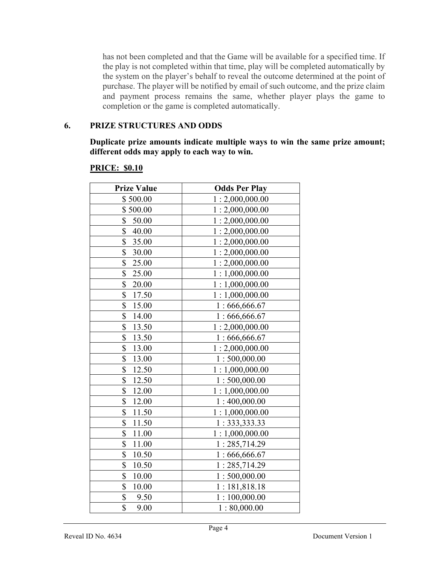has not been completed and that the Game will be available for a specified time. If the play is not completed within that time, play will be completed automatically by the system on the player's behalf to reveal the outcome determined at the point of purchase. The player will be notified by email of such outcome, and the prize claim and payment process remains the same, whether player plays the game to completion or the game is completed automatically.

### 6. PRIZE STRUCTURES AND ODDS

Duplicate prize amounts indicate multiple ways to win the same prize amount; different odds may apply to each way to win.

| <b>Prize Value</b>     | <b>Odds Per Play</b> |
|------------------------|----------------------|
| \$500.00               | 1:2,000,000.00       |
| \$500.00               | 1:2,000,000.00       |
| \$<br>50.00            | 1:2,000,000.00       |
| \$<br>40.00            | 1:2,000,000.00       |
| \$<br>35.00            | 1:2,000,000.00       |
| \$<br>30.00            | 1:2,000,000.00       |
| $\frac{1}{2}$<br>25.00 | 1:2,000,000.00       |
| \$<br>25.00            | 1:1,000,000.00       |
| \$<br>20.00            | 1:1,000,000.00       |
| \$<br>17.50            | 1:1,000,000.00       |
| \$<br>15.00            | 1:666,666.67         |
| \$<br>14.00            | 1:666,666.67         |
| \$<br>13.50            | 1:2,000,000.00       |
| \$<br>13.50            | 1:666,666.67         |
| \$<br>13.00            | 1:2,000,000.00       |
| \$<br>13.00            | 1:500,000.00         |
| \$<br>12.50            | 1:1,000,000.00       |
| \$<br>12.50            | 1:500,000.00         |
| \$<br>12.00            | 1:1,000,000.00       |
| \$<br>12.00            | 1:400,000.00         |
| 11.50<br>\$            | 1:1,000,000.00       |
| \$<br>11.50            | 1:333,333.33         |
| \$<br>11.00            | 1:1,000,000.00       |
| \$<br>11.00            | 1:285,714.29         |
| \$<br>10.50            | 1:666,666.67         |
| \$<br>10.50            | 1:285,714.29         |
| \$<br>10.00            | 1:500,000.00         |
| \$<br>10.00            | 1:181,818.18         |
| \$<br>9.50             | 1:100,000.00         |
| \$<br>9.00             | 1:80,000.00          |

#### PRICE: \$0.10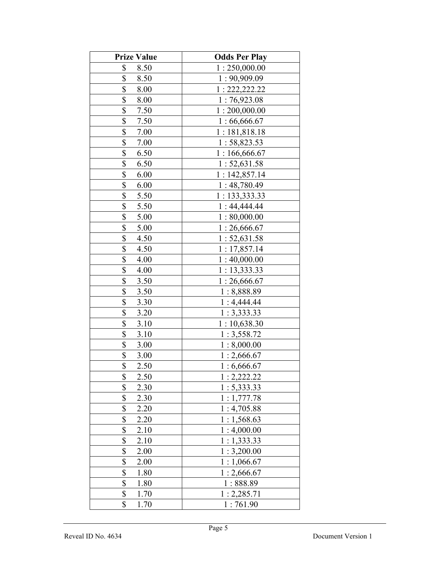| <b>Prize Value</b>                | <b>Odds Per Play</b> |
|-----------------------------------|----------------------|
| \$<br>8.50                        | 1:250,000.00         |
| \$<br>8.50                        | 1:90,909.09          |
| \$<br>8.00                        | 1: 222, 222.22       |
| \$<br>8.00                        | 1:76,923.08          |
| \$<br>7.50                        | 1:200,000.00         |
| \$<br>7.50                        | 1:66,666.67          |
| \$<br>7.00                        | 1:181,818.18         |
| \$<br>7.00                        | 1:58,823.53          |
| \$<br>6.50                        | 1:166,666.67         |
| \$<br>6.50                        | 1:52,631.58          |
| \$<br>6.00                        | 1:142,857.14         |
| \$<br>6.00                        | 1:48,780.49          |
| \$<br>5.50                        | 1: 133,333.33        |
| \$<br>5.50                        | 1:44,444.44          |
| \$<br>5.00                        | 1:80,000.00          |
| \$<br>5.00                        | 1:26,666.67          |
| \$<br>4.50                        | 1:52,631.58          |
| \$<br>4.50                        | 1: 17,857.14         |
| \$<br>4.00                        | 1:40,000.00          |
| \$<br>4.00                        | 1: 13,333.33         |
| \$<br>3.50                        | 1:26,666.67          |
| \$<br>3.50                        | 1:8,888.89           |
| \$<br>3.30                        | 1:4,444.44           |
| \$<br>3.20                        | 1:3,333.33           |
| \$<br>3.10                        | 1:10,638.30          |
| $\frac{1}{2}$<br>3.10             | 1:3,558.72           |
| $\frac{1}{2}$<br>3.00             | 1:8,000.00           |
| $\frac{1}{2}$<br>3.00             | 1:2,666.67           |
| \$<br>2.50                        | 1:6,666.67           |
| \$<br>2.50                        | 1:2,222.22           |
| \$<br>2.30                        | 1: 5,333.33          |
| \$<br>2.30                        | 1:1,777.78           |
| \$<br>2.20                        | 1:4,705.88           |
| $\boldsymbol{\mathsf{S}}$<br>2.20 | 1:1,568.63           |
| \$<br>2.10                        | 1:4,000.00           |
| \$<br>2.10                        | 1:1,333.33           |
| \$<br>2.00                        | 1:3,200.00           |
| \$<br>2.00                        | 1:1,066.67           |
| \$<br>1.80                        | 1:2,666.67           |
| \$<br>1.80                        | 1:888.89             |
| \$<br>1.70                        | 1:2,285.71           |
| \$<br>1.70                        | 1:761.90             |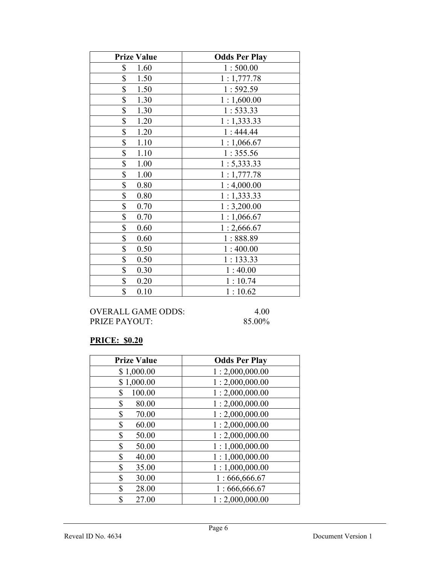| <b>Prize Value</b> | <b>Odds Per Play</b> |
|--------------------|----------------------|
| \$<br>1.60         | 1:500.00             |
| \$<br>1.50         | 1:1,777.78           |
| \$<br>1.50         | 1:592.59             |
| \$<br>1.30         | 1:1,600.00           |
| \$<br>1.30         | 1:533.33             |
| \$<br>1.20         | 1:1,333.33           |
| \$<br>1.20         | 1:444.44             |
| \$<br>1.10         | 1:1,066.67           |
| \$<br>1.10         | 1:355.56             |
| \$<br>1.00         | 1: 5,333.33          |
| \$<br>1.00         | 1:1,777.78           |
| \$<br>0.80         | 1:4,000.00           |
| \$<br>0.80         | 1:1,333.33           |
| \$<br>0.70         | 1:3,200.00           |
| \$<br>0.70         | 1:1,066.67           |
| \$<br>0.60         | 1:2,666.67           |
| \$<br>0.60         | 1:888.89             |
| \$<br>0.50         | 1:400.00             |
| \$<br>0.50         | 1:133.33             |
| \$<br>0.30         | 1:40.00              |
| \$<br>0.20         | 1:10.74              |
| \$<br>0.10         | 1:10.62              |

### PRICE: \$0.20

| <b>Prize Value</b> | <b>Odds Per Play</b> |
|--------------------|----------------------|
| \$1,000.00         | 1:2,000,000.00       |
| \$1,000.00         | 1:2,000,000.00       |
| 100.00<br>\$       | 1:2,000,000.00       |
| \$<br>80.00        | 1:2,000,000.00       |
| \$<br>70.00        | 1:2,000,000.00       |
| \$<br>60.00        | 1:2,000,000.00       |
| \$<br>50.00        | 1:2,000,000.00       |
| \$<br>50.00        | 1:1,000,000.00       |
| \$<br>40.00        | 1:1,000,000.00       |
| \$<br>35.00        | 1:1,000,000.00       |
| \$<br>30.00        | 1:666,666.67         |
| \$<br>28.00        | 1:666,666.67         |
| \$<br>27.00        | 1:2,000,000.00       |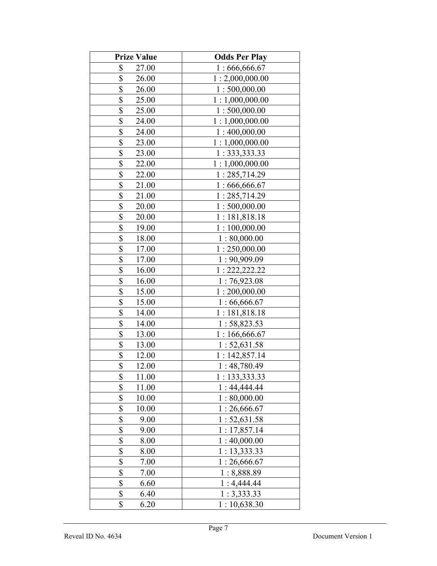| <b>Prize Value</b> | <b>Odds Per Play</b> |
|--------------------|----------------------|
| \$<br>27.00        | 1:666,666.67         |
| \$<br>26.00        | 1:2,000,000.00       |
| \$<br>26.00        | 1:500,000.00         |
| \$<br>25.00        | 1:1,000,000.00       |
| \$<br>25.00        | 1:500,000.00         |
| \$<br>24.00        | 1:1,000,000.00       |
| \$<br>24.00        | 1:400,000.00         |
| \$<br>23.00        | 1:1,000,000.00       |
| \$<br>23.00        | 1: 333, 333.33       |
| \$<br>22.00        | 1:1,000,000.00       |
| \$<br>22.00        | 1:285,714.29         |
| \$<br>21.00        | 1:666,666.67         |
| \$<br>21.00        | 1:285,714.29         |
| \$<br>20.00        | 1:500,000.00         |
| \$<br>20.00        | 1:181,818.18         |
| \$<br>19.00        | 1:100,000.00         |
| \$<br>18.00        | 1:80,000.00          |
| \$<br>17.00        | 1:250,000.00         |
| \$<br>17.00        | 1:90,909.09          |
| \$<br>16.00        | 1: 222, 222.22       |
| \$<br>16.00        | 1:76,923.08          |
| \$<br>15.00        | 1:200,000.00         |
| \$<br>15.00        | 1:66,666.67          |
| \$<br>14.00        | 1:181,818.18         |
| \$<br>14.00        | 1:58,823.53          |
| \$<br>13.00        | 1:166,666.67         |
| \$<br>13.00        | 1: 52, 631.58        |
| \$<br>12.00        | 1:142,857.14         |
| \$<br>12.00        | 1:48,780.49          |
| \$<br>11.00        | 1:133,333.33         |
| \$<br>11.00        | 1:44,444.44          |
| \$<br>10.00        | 1:80,000.00          |
| \$<br>10.00        | 1:26,666.67          |
| \$<br>9.00         | 1:52,631.58          |
| \$<br>9.00         | 1:17,857.14          |
| \$<br>8.00         | 1:40,000.00          |
| \$<br>8.00         | 1: 13,333.33         |
| \$<br>7.00         | 1:26,666.67          |
| \$<br>7.00         | 1:8,888.89           |
| \$<br>6.60         | 1:4,444.44           |
| \$<br>6.40         | 1:3,333.33           |
| \$<br>6.20         | 1:10,638.30          |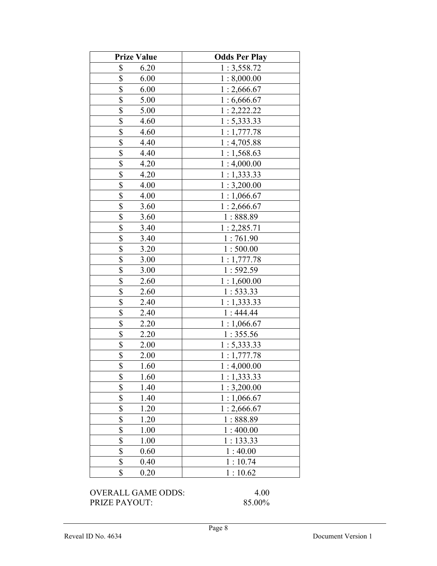| <b>Prize Value</b>  | <b>Odds Per Play</b> |
|---------------------|----------------------|
| \$<br>6.20          | 1:3,558.72           |
| \$<br>6.00          | 1:8,000.00           |
| \$<br>6.00          | 1:2,666.67           |
| \$<br>5.00          | 1:6,666.67           |
| \$<br>5.00          | 1:2,222.22           |
| \$<br>4.60          | 1: 5,333.33          |
| \$<br>4.60          | 1:1,777.78           |
| \$<br>4.40          | 1:4,705.88           |
| \$<br>4.40          | 1:1,568.63           |
| \$<br>4.20          | 1:4,000.00           |
| \$<br>4.20          | 1:1,333.33           |
| \$<br>4.00          | 1:3,200.00           |
| \$<br>4.00          | 1:1,066.67           |
| \$<br>3.60          | 1:2,666.67           |
| \$<br>3.60          | 1:888.89             |
| \$<br>3.40          | 1: 2,285.71          |
| \$<br>3.40          | 1:761.90             |
| \$<br>3.20          | 1:500.00             |
| \$<br>3.00          | 1:1,777.78           |
| \$<br>3.00          | 1:592.59             |
| \$<br>2.60          | 1:1,600.00           |
| \$<br>2.60          | 1:533.33             |
| \$<br>2.40          | 1:1,333.33           |
| \$<br>2.40          | 1:444.44             |
| \$<br>2.20          | 1:1,066.67           |
| \$<br>2.20          | 1:355.56             |
| \$<br>2.00          | 1:5,333.33           |
| \$<br>2.00          | 1:1,777.78           |
| \$<br>1.60          | 1:4,000.00           |
| \$<br>1.60          | 1:1,333.33           |
| \$<br>1.40          | 1:3,200.00           |
| \$<br>1.40          | 1:1,066.67           |
| \$<br>1.20          | 1:2,666.67           |
| \$<br>1.20          | 1:888.89             |
| \$<br>1.00          | 1:400.00             |
| \$<br>1.00          | 1:133.33             |
| \$<br>0.60          | 1:40.00              |
| \$<br>0.40          | 1:10.74              |
| \$<br>0.20          | 1:10.62              |
| OVED ALL CAME ODDS. | 4. ስስ                |

OVERALL GAME ODDS: 4.00 PRIZE PAYOUT: 85.00%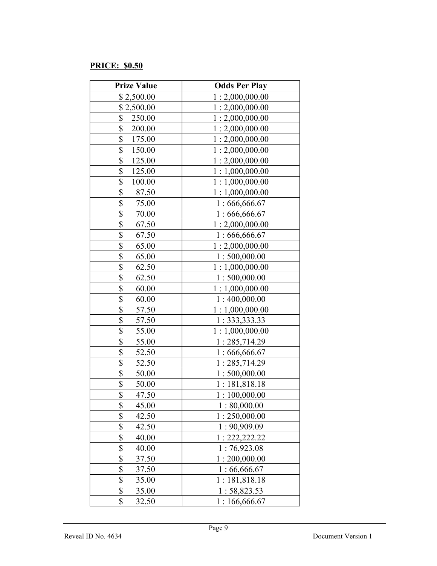### PRICE: \$0.50

| <b>Prize Value</b> | <b>Odds Per Play</b> |
|--------------------|----------------------|
| \$2,500.00         | 1:2,000,000.00       |
| \$2,500.00         | 1:2,000,000.00       |
| \$<br>250.00       | 1:2,000,000.00       |
| \$<br>200.00       | 1:2,000,000.00       |
| \$<br>175.00       | 1:2,000,000.00       |
| \$<br>150.00       | 1:2,000,000.00       |
| \$<br>125.00       | 1:2,000,000.00       |
| \$<br>125.00       | 1:1,000,000.00       |
| \$<br>100.00       | 1:1,000,000.00       |
| \$<br>87.50        | 1:1,000,000.00       |
| \$<br>75.00        | 1:666,666.67         |
| \$<br>70.00        | 1:666,666.67         |
| \$<br>67.50        | 1:2,000,000.00       |
| \$<br>67.50        | 1:666,666.67         |
| \$<br>65.00        | 1:2,000,000.00       |
| \$<br>65.00        | 1:500,000.00         |
| \$<br>62.50        | 1:1,000,000.00       |
| \$<br>62.50        | 1:500,000.00         |
| \$<br>60.00        | 1:1,000,000.00       |
| \$<br>60.00        | 1:400,000.00         |
| \$<br>57.50        | 1:1,000,000.00       |
| \$<br>57.50        | 1: 333, 333.33       |
| \$<br>55.00        | 1:1,000,000.00       |
| \$<br>55.00        | 1:285,714.29         |
| \$<br>52.50        | 1:666,666.67         |
| \$<br>52.50        | 1:285,714.29         |
| \$<br>50.00        | 1:500,000.00         |
| \$<br>50.00        | 1:181,818.18         |
| \$<br>47.50        | 1:100,000.00         |
| \$<br>45.00        | 1:80,000.00          |
| \$<br>42.50        | 1:250,000.00         |
| \$<br>42.50        | 1:90,909.09          |
| \$<br>40.00        | 1: 222, 222.22       |
| \$<br>40.00        | 1:76,923.08          |
| \$<br>37.50        | 1:200,000.00         |
| \$<br>37.50        | 1:66,666.67          |
| \$<br>35.00        | 1:181,818.18         |
| \$<br>35.00        | 1:58,823.53          |
| \$<br>32.50        | 1:166,666.67         |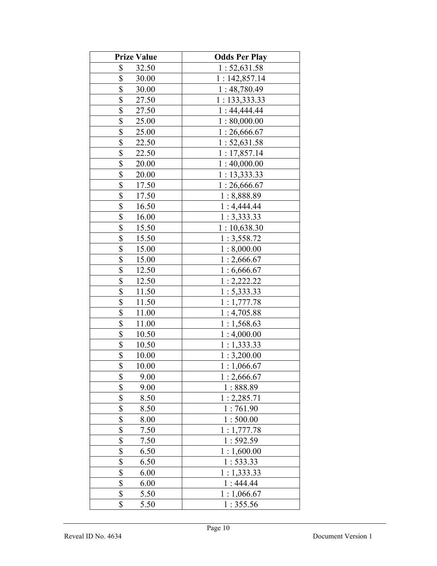| <b>Prize Value</b> | <b>Odds Per Play</b> |
|--------------------|----------------------|
| \$<br>32.50        | 1:52,631.58          |
| \$<br>30.00        | 1:142,857.14         |
| \$<br>30.00        | 1:48,780.49          |
| \$<br>27.50        | 1: 133,333.33        |
| \$<br>27.50        | 1:44,444.44          |
| \$<br>25.00        | 1:80,000.00          |
| \$<br>25.00        | 1:26,666.67          |
| \$<br>22.50        | 1:52,631.58          |
| \$<br>22.50        | 1:17,857.14          |
| \$<br>20.00        | 1:40,000.00          |
| \$<br>20.00        | 1: 13,333.33         |
| \$<br>17.50        | 1:26,666.67          |
| \$<br>17.50        | 1:8,888.89           |
| \$<br>16.50        | 1:4,444.44           |
| \$<br>16.00        | 1:3,333.33           |
| \$<br>15.50        | 1:10,638.30          |
| \$<br>15.50        | 1:3,558.72           |
| \$<br>15.00        | 1:8,000.00           |
| \$<br>15.00        | 1:2,666.67           |
| \$<br>12.50        | 1:6,666.67           |
| \$<br>12.50        | 1:2,222.22           |
| \$<br>11.50        | 1: 5,333.33          |
| \$<br>11.50        | 1:1,777.78           |
| \$<br>11.00        | 1:4,705.88           |
| \$<br>11.00        | 1:1,568.63           |
| \$<br>10.50        | 1:4,000.00           |
| \$<br>10.50        | 1:1,333.33           |
| \$<br>10.00        | 1:3,200.00           |
| \$<br>10.00        | 1:1,066.67           |
| \$<br>9.00         | 1:2,666.67           |
| \$<br>9.00         | 1:888.89             |
| \$<br>8.50         | 1:2,285.71           |
| \$<br>8.50         | 1:761.90             |
| \$<br>8.00         | 1:500.00             |
| \$<br>7.50         | 1:1,777.78           |
| \$<br>7.50         | 1:592.59             |
| \$<br>6.50         | 1:1,600.00           |
| \$<br>6.50         | 1:533.33             |
| \$<br>6.00         | 1:1,333.33           |
| \$<br>6.00         | 1:444.44             |
| \$<br>5.50         | 1:1,066.67           |
| \$<br>5.50         | 1:355.56             |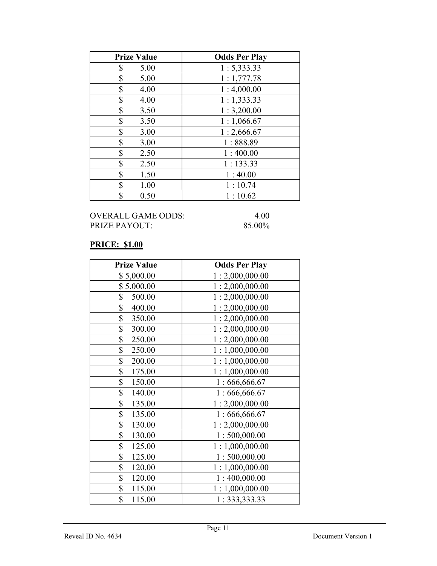| <b>Prize Value</b> | <b>Odds Per Play</b> |
|--------------------|----------------------|
| \$<br>5.00         | 1: 5,333.33          |
| \$<br>5.00         | 1:1,777.78           |
| \$<br>4.00         | 1:4,000.00           |
| \$<br>4.00         | 1:1,333.33           |
| \$<br>3.50         | 1:3,200.00           |
| \$<br>3.50         | 1:1,066.67           |
| \$<br>3.00         | 1:2,666.67           |
| \$<br>3.00         | 1:888.89             |
| \$<br>2.50         | 1:400.00             |
| \$<br>2.50         | 1:133.33             |
| \$<br>1.50         | 1:40.00              |
| \$<br>1.00         | 1:10.74              |
| \$<br>0.50         | 1:10.62              |

## PRICE: \$1.00

| <b>Prize Value</b> | <b>Odds Per Play</b> |
|--------------------|----------------------|
| \$5,000.00         | 1:2,000,000.00       |
| \$5,000.00         | 1:2,000,000.00       |
| \$<br>500.00       | 1:2,000,000.00       |
| \$<br>400.00       | 1:2,000,000.00       |
| \$<br>350.00       | 1:2,000,000.00       |
| \$<br>300.00       | 1:2,000,000.00       |
| \$<br>250.00       | 1:2,000,000.00       |
| \$<br>250.00       | 1:1,000,000.00       |
| \$<br>200.00       | 1:1,000,000.00       |
| \$<br>175.00       | 1:1,000,000.00       |
| \$<br>150.00       | 1:666,666.67         |
| \$<br>140.00       | 1:666,666.67         |
| \$<br>135.00       | 1:2,000,000.00       |
| \$<br>135.00       | 1:666,666.67         |
| \$<br>130.00       | 1:2,000,000.00       |
| \$<br>130.00       | 1:500,000.00         |
| \$<br>125.00       | 1:1,000,000.00       |
| \$<br>125.00       | 1:500,000.00         |
| \$<br>120.00       | 1:1,000,000.00       |
| \$<br>120.00       | 1:400,000.00         |
| \$<br>115.00       | 1:1,000,000.00       |
| \$<br>115.00       | 1:333,333.33         |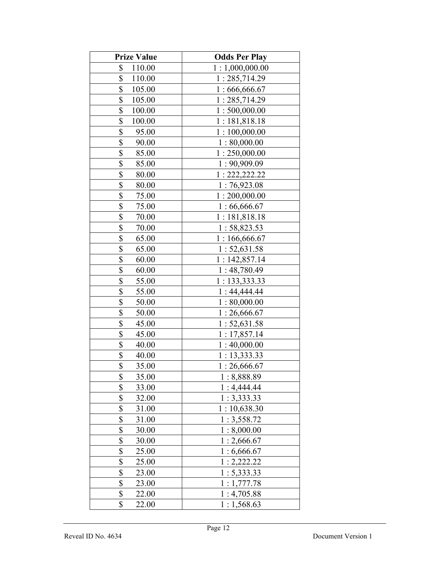| <b>Prize Value</b> | <b>Odds Per Play</b> |
|--------------------|----------------------|
| \$<br>110.00       | 1:1,000,000.00       |
| \$<br>110.00       | 1:285,714.29         |
| \$<br>105.00       | 1:666,666.67         |
| \$<br>105.00       | 1:285,714.29         |
| \$<br>100.00       | 1:500,000.00         |
| \$<br>100.00       | 1:181,818.18         |
| \$<br>95.00        | 1:100,000.00         |
| \$<br>90.00        | 1:80,000.00          |
| \$<br>85.00        | 1:250,000.00         |
| \$<br>85.00        | 1:90,909.09          |
| \$<br>80.00        | 1:222,222.22         |
| \$<br>80.00        | 1:76,923.08          |
| \$<br>75.00        | 1:200,000.00         |
| \$<br>75.00        | 1:66,666.67          |
| \$<br>70.00        | 1:181,818.18         |
| \$<br>70.00        | 1:58,823.53          |
| \$<br>65.00        | 1:166,666.67         |
| \$<br>65.00        | 1: 52, 631.58        |
| \$<br>60.00        | 1:142,857.14         |
| \$<br>60.00        | 1:48,780.49          |
| \$<br>55.00        | 1: 133,333.33        |
| \$<br>55.00        | 1:44,444.44          |
| \$<br>50.00        | 1:80,000.00          |
| \$<br>50.00        | 1:26,666.67          |
| \$<br>45.00        | 1: 52, 631.58        |
| \$<br>45.00        | 1:17,857.14          |
| \$<br>40.00        | 1:40,000.00          |
| \$<br>40.00        | 1: 13,333.33         |
| \$<br>35.00        | 1:26,666.67          |
| \$<br>35.00        | 1:8,888.89           |
| \$<br>33.00        | 1:4,444.44           |
| \$<br>32.00        | 1:3,333.33           |
| \$<br>31.00        | 1:10,638.30          |
| \$<br>31.00        | 1:3,558.72           |
| \$<br>30.00        | 1:8,000.00           |
| \$<br>30.00        | 1:2,666.67           |
| \$<br>25.00        | 1:6,666.67           |
| \$<br>25.00        | 1:2,222.22           |
| \$<br>23.00        | 1:5,333.33           |
| \$<br>23.00        | 1:1,777.78           |
| \$<br>22.00        | 1:4,705.88           |
| \$<br>22.00        | 1:1,568.63           |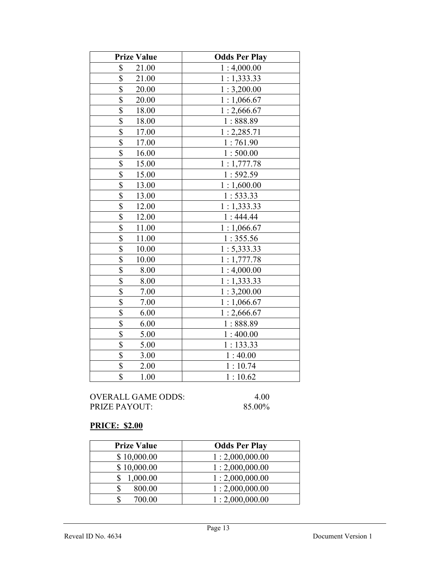| <b>Prize Value</b>               | <b>Odds Per Play</b> |
|----------------------------------|----------------------|
| \$<br>21.00                      | 1:4,000.00           |
| \$<br>21.00                      | 1:1,333.33           |
| \$<br>20.00                      | 1:3,200.00           |
| $\overline{\mathbb{S}}$<br>20.00 | 1:1,066.67           |
| \$<br>18.00                      | 1:2,666.67           |
| \$<br>18.00                      | 1:888.89             |
| \$<br>17.00                      | 1:2,285.71           |
| \$<br>17.00                      | 1:761.90             |
| $\overline{\$}$<br>16.00         | 1:500.00             |
| \$<br>15.00                      | 1:1,777.78           |
| \$<br>15.00                      | 1:592.59             |
| \$<br>13.00                      | 1:1,600.00           |
| \$<br>13.00                      | 1:533.33             |
| \$<br>12.00                      | 1:1,333.33           |
| \$<br>12.00                      | 1:444.44             |
| \$<br>11.00                      | 1:1,066.67           |
| \$<br>11.00                      | 1:355.56             |
| \$<br>10.00                      | 1: 5,333.33          |
| \$<br>10.00                      | 1:1,777.78           |
| \$<br>8.00                       | 1:4,000.00           |
| \$<br>8.00                       | 1:1,333.33           |
| \$<br>7.00                       | 1:3,200.00           |
| \$<br>7.00                       | 1:1,066.67           |
| $\overline{\$}$<br>6.00          | 1:2,666.67           |
| \$<br>6.00                       | 1:888.89             |
| \$<br>5.00                       | 1:400.00             |
| \$<br>5.00                       | 1:133.33             |
| \$<br>3.00                       | 1:40.00              |
| \$<br>2.00                       | 1:10.74              |
| \$<br>1.00                       | 1:10.62              |

## PRICE: \$2.00

| <b>Prize Value</b> | <b>Odds Per Play</b> |
|--------------------|----------------------|
| \$10,000.00        | 1:2,000,000.00       |
| \$10,000.00        | 1:2,000,000.00       |
| 1,000.00           | 1:2,000,000.00       |
| 800.00             | 1:2,000,000.00       |
| 700.00             | 1:2,000,000.00       |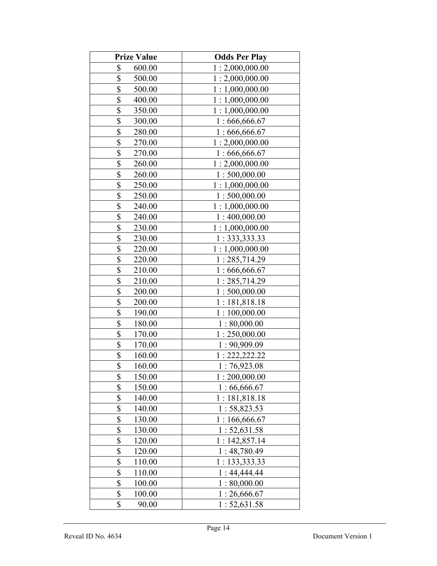| <b>Prize Value</b>                  | <b>Odds Per Play</b> |
|-------------------------------------|----------------------|
| \$<br>600.00                        | 1:2,000,000.00       |
| \$<br>500.00                        | 1:2,000,000.00       |
| \$<br>500.00                        | 1:1,000,000.00       |
| \$<br>400.00                        | 1:1,000,000.00       |
| \$<br>350.00                        | 1:1,000,000.00       |
| \$<br>300.00                        | 1:666,666.67         |
| \$<br>280.00                        | 1:666,666.67         |
| \$<br>270.00                        | 1:2,000,000.00       |
| \$<br>270.00                        | 1:666,666.67         |
| \$<br>260.00                        | 1:2,000,000.00       |
| \$<br>260.00                        | 1:500,000.00         |
| \$<br>250.00                        | 1:1,000,000.00       |
| \$<br>250.00                        | 1:500,000.00         |
| \$<br>240.00                        | 1:1,000,000.00       |
| \$<br>240.00                        | 1:400,000.00         |
| \$<br>230.00                        | 1:1,000,000.00       |
| \$<br>230.00                        | 1: 333, 333.33       |
| \$<br>220.00                        | 1:1,000,000.00       |
| \$<br>220.00                        | 1:285,714.29         |
| \$<br>210.00                        | 1:666,666.67         |
| \$<br>210.00                        | 1:285,714.29         |
| \$<br>200.00                        | 1:500,000.00         |
| \$<br>200.00                        | 1:181,818.18         |
| \$<br>190.00                        | 1:100,000.00         |
| \$<br>180.00                        | 1:80,000.00          |
| $\boldsymbol{\mathsf{S}}$<br>170.00 | 1:250,000.00         |
| $\boldsymbol{\mathsf{S}}$<br>170.00 | 1:90,909.09          |
| \$<br>160.00                        | 1: 222, 222.22       |
| \$<br>160.00                        | 1:76,923.08          |
| \$<br>150.00                        | 1:200,000.00         |
| \$<br>150.00                        | 1:66,666.67          |
| \$<br>140.00                        | 1:181,818.18         |
| \$<br>140.00                        | 1:58,823.53          |
| \$<br>130.00                        | 1:166,666.67         |
| \$<br>130.00                        | 1: 52, 631.58        |
| \$<br>120.00                        | 1:142,857.14         |
| \$<br>120.00                        | 1:48,780.49          |
| \$<br>110.00                        | 1: 133, 333.33       |
| \$<br>110.00                        | 1:44,444.44          |
| \$<br>100.00                        | 1:80,000.00          |
| \$<br>100.00                        | 1:26,666.67          |
| \$<br>90.00                         | 1: 52, 631.58        |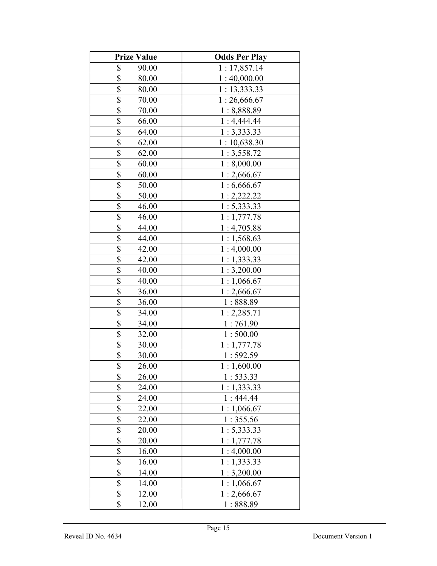| <b>Prize Value</b>                 | <b>Odds Per Play</b> |
|------------------------------------|----------------------|
| \$<br>90.00                        | 1:17,857.14          |
| \$<br>80.00                        | 1:40,000.00          |
| \$<br>80.00                        | 1:13,333.33          |
| \$<br>70.00                        | 1:26,666.67          |
| \$<br>70.00                        | 1:8,888.89           |
| \$<br>66.00                        | 1:4,444.44           |
| \$<br>64.00                        | 1:3,333.33           |
| \$<br>62.00                        | 1:10,638.30          |
| \$<br>62.00                        | 1:3,558.72           |
| \$<br>60.00                        | 1:8,000.00           |
| \$<br>60.00                        | 1:2,666.67           |
| \$<br>50.00                        | 1:6,666.67           |
| \$<br>50.00                        | 1:2,222.22           |
| \$<br>46.00                        | 1:5,333.33           |
| \$<br>46.00                        | 1:1,777.78           |
| \$<br>44.00                        | 1:4,705.88           |
| \$<br>44.00                        | 1:1,568.63           |
| \$<br>42.00                        | 1:4,000.00           |
| \$<br>42.00                        | 1:1,333.33           |
| \$<br>40.00                        | 1:3,200.00           |
| \$<br>40.00                        | 1:1,066.67           |
| \$<br>36.00                        | 1:2,666.67           |
| \$<br>36.00                        | 1:888.89             |
| \$<br>34.00                        | 1:2,285.71           |
| \$<br>34.00                        | 1:761.90             |
| $\boldsymbol{\mathsf{S}}$<br>32.00 | 1:500.00             |
| $\frac{1}{2}$<br>30.00             | 1:1,777.78           |
| $\overline{\$}$<br>30.00           | 1:592.59             |
| $\overline{\$}$<br>26.00           | 1:1,600.00           |
| \$<br>26.00                        | 1:533.33             |
| \$<br>24.00                        | 1:1,333.33           |
| \$<br>24.00                        | 1:444.44             |
| \$<br>22.00                        | 1:1,066.67           |
| \$<br>22.00                        | 1:355.56             |
| \$<br>20.00                        | 1: 5,333.33          |
| \$<br>20.00                        | 1:1,777.78           |
| \$<br>16.00                        | 1:4,000.00           |
| \$<br>16.00                        | 1:1,333.33           |
| \$<br>14.00                        | 1:3,200.00           |
| \$<br>14.00                        | 1:1,066.67           |
| \$<br>12.00                        | 1:2,666.67           |
| \$<br>12.00                        | 1:888.89             |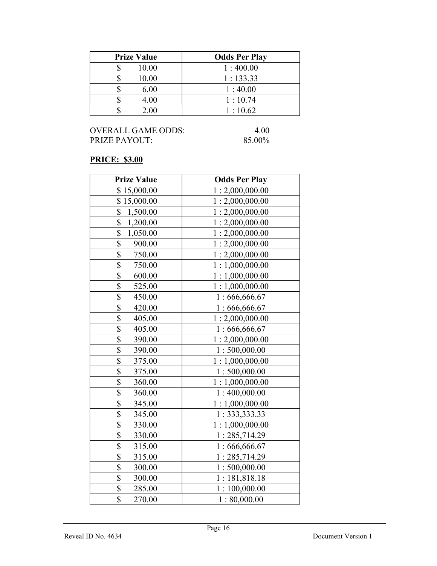| <b>Prize Value</b> | <b>Odds Per Play</b> |
|--------------------|----------------------|
| 10.00              | 1:400.00             |
| 10.00              | 1:133.33             |
| 6.00               | 1:40.00              |
| 4.00               | 1:10.74              |
| 2.00               | 1:10.62              |

## PRICE: \$3.00

| <b>Prize Value</b>                  | <b>Odds Per Play</b> |
|-------------------------------------|----------------------|
| \$15,000.00                         | 1:2,000,000.00       |
| \$15,000.00                         | 1:2,000,000.00       |
| \$<br>1,500.00                      | 1:2,000,000.00       |
| \$<br>1,200.00                      | 1:2,000,000.00       |
| \$<br>1,050.00                      | 1:2,000,000.00       |
| \$<br>900.00                        | 1:2,000,000.00       |
| \$<br>750.00                        | 1:2,000,000.00       |
| \$<br>750.00                        | 1:1,000,000.00       |
| \$<br>600.00                        | 1:1,000,000.00       |
| \$<br>525.00                        | 1:1,000,000.00       |
| \$<br>450.00                        | 1:666,666.67         |
| \$<br>420.00                        | 1:666,666.67         |
| \$<br>405.00                        | 1:2,000,000.00       |
| $\overline{\mathbb{S}}$<br>405.00   | 1:666,666.67         |
| \$<br>390.00                        | 1:2,000,000.00       |
| \$<br>390.00                        | 1:500,000.00         |
| \$<br>375.00                        | 1:1,000,000.00       |
| \$<br>375.00                        | 1:500,000.00         |
| \$<br>360.00                        | 1:1,000,000.00       |
| \$<br>360.00                        | 1:400,000.00         |
| \$<br>345.00                        | 1:1,000,000.00       |
| \$<br>345.00                        | 1:333,333.33         |
| \$<br>330.00                        | 1:1,000,000.00       |
| \$<br>330.00                        | 1:285,714.29         |
| \$<br>315.00                        | 1:666,666.67         |
| \$<br>315.00                        | 1:285,714.29         |
| \$<br>300.00                        | 1:500,000.00         |
| $\boldsymbol{\mathsf{S}}$<br>300.00 | 1:181,818.18         |
| \$<br>285.00                        | 1:100,000.00         |
| \$<br>270.00                        | 1:80,000.00          |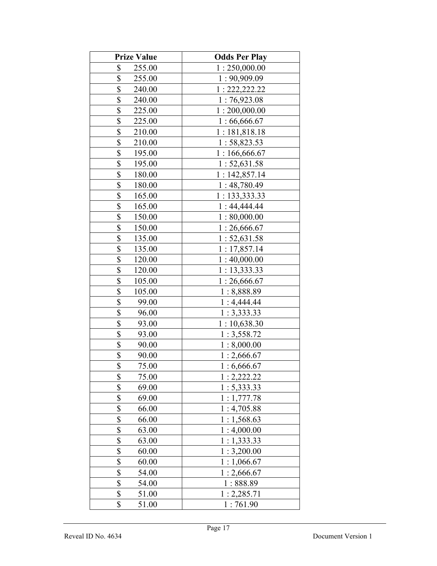| <b>Prize Value</b>                 | <b>Odds Per Play</b> |
|------------------------------------|----------------------|
| \$<br>255.00                       | 1:250,000.00         |
| \$<br>255.00                       | 1:90,909.09          |
| \$<br>240.00                       | 1:222,222.22         |
| \$<br>240.00                       | 1:76,923.08          |
| \$<br>225.00                       | 1:200,000.00         |
| \$<br>225.00                       | 1:66,666.67          |
| \$<br>210.00                       | 1:181,818.18         |
| \$<br>210.00                       | 1:58,823.53          |
| \$<br>195.00                       | 1:166,666.67         |
| \$<br>195.00                       | 1:52,631.58          |
| \$<br>180.00                       | 1:142,857.14         |
| \$<br>180.00                       | 1:48,780.49          |
| \$<br>165.00                       | 1: 133,333.33        |
| \$<br>165.00                       | 1:44,444.44          |
| \$<br>150.00                       | 1:80,000.00          |
| \$<br>150.00                       | 1:26,666.67          |
| \$<br>135.00                       | 1:52,631.58          |
| \$<br>135.00                       | 1:17,857.14          |
| \$<br>120.00                       | 1:40,000.00          |
| \$<br>120.00                       | 1: 13,333.33         |
| \$<br>105.00                       | 1:26,666.67          |
| \$<br>105.00                       | 1:8,888.89           |
| \$<br>99.00                        | 1:4,444.44           |
| \$<br>96.00                        | 1:3,333.33           |
| \$<br>93.00                        | 1:10,638.30          |
| $\boldsymbol{\mathsf{S}}$<br>93.00 | 1:3,558.72           |
| $\frac{1}{2}$<br>90.00             | 1:8,000.00           |
| \$<br>90.00                        | 1:2,666.67           |
| $\overline{\$}$<br>75.00           | 1:6,666.67           |
| \$<br>75.00                        | 1:2,222.22           |
| \$<br>69.00                        | 1:5,333.33           |
| \$<br>69.00                        | 1:1,777.78           |
| \$<br>66.00                        | 1:4,705.88           |
| \$<br>66.00                        | 1:1,568.63           |
| \$<br>63.00                        | 1:4,000.00           |
| \$<br>63.00                        | 1:1,333.33           |
| \$<br>60.00                        | 1:3,200.00           |
| \$<br>60.00                        | 1:1,066.67           |
| \$<br>54.00                        | 1:2,666.67           |
| \$<br>54.00                        | 1:888.89             |
| \$<br>51.00                        | 1:2,285.71           |
| \$<br>51.00                        | 1:761.90             |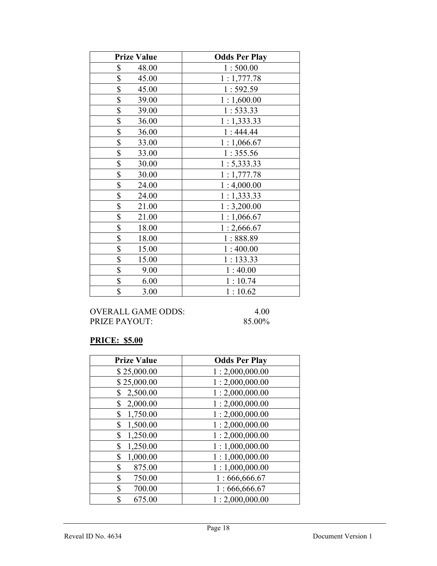| <b>Prize Value</b> | <b>Odds Per Play</b> |
|--------------------|----------------------|
| \$<br>48.00        | 1:500.00             |
| \$<br>45.00        | 1:1,777.78           |
| \$<br>45.00        | 1:592.59             |
| \$<br>39.00        | 1:1,600.00           |
| \$<br>39.00        | 1:533.33             |
| \$<br>36.00        | 1:1,333.33           |
| \$<br>36.00        | 1:444.44             |
| \$<br>33.00        | 1:1,066.67           |
| \$<br>33.00        | 1:355.56             |
| \$<br>30.00        | 1: 5,333.33          |
| \$<br>30.00        | 1:1,777.78           |
| \$<br>24.00        | 1:4,000.00           |
| \$<br>24.00        | 1:1,333.33           |
| \$<br>21.00        | 1:3,200.00           |
| \$<br>21.00        | 1:1,066.67           |
| \$<br>18.00        | 1:2,666.67           |
| \$<br>18.00        | 1:888.89             |
| \$<br>15.00        | 1:400.00             |
| \$<br>15.00        | 1:133.33             |
| \$<br>9.00         | 1:40.00              |
| \$<br>6.00         | 1:10.74              |
| \$<br>3.00         | 1:10.62              |

## PRICE: \$5.00

| <b>Prize Value</b> | <b>Odds Per Play</b> |
|--------------------|----------------------|
| \$25,000.00        | 1:2,000,000.00       |
| \$25,000.00        | 1:2,000,000.00       |
| \$<br>2,500.00     | 1:2,000,000.00       |
| \$<br>2,000.00     | 1:2,000,000.00       |
| 1,750.00<br>\$     | 1:2,000,000.00       |
| 1,500.00<br>\$     | 1:2,000,000.00       |
| 1,250.00<br>\$     | 1:2,000,000.00       |
| 1,250.00<br>\$     | 1:1,000,000.00       |
| \$<br>1,000.00     | 1:1,000,000.00       |
| \$<br>875.00       | 1:1,000,000.00       |
| \$<br>750.00       | 1:666,666.67         |
| \$<br>700.00       | 1:666,666.67         |
| \$<br>675.00       | 1:2,000,000.00       |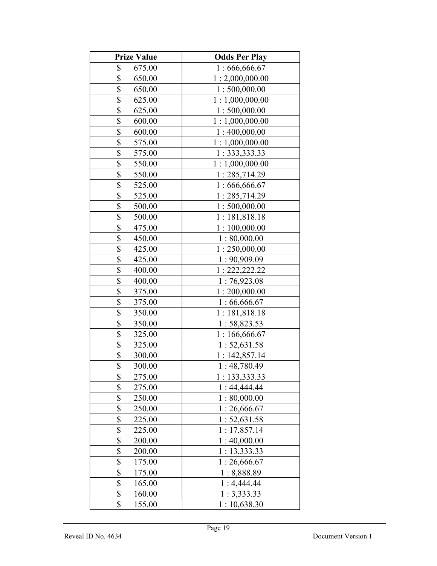| <b>Prize Value</b>      | <b>Odds Per Play</b> |
|-------------------------|----------------------|
| \$<br>675.00            | 1:666,666.67         |
| \$<br>650.00            | 1:2,000,000.00       |
| \$<br>650.00            | 1:500,000.00         |
| \$<br>625.00            | 1:1,000,000.00       |
| \$<br>625.00            | 1:500,000.00         |
| \$<br>600.00            | 1:1,000,000.00       |
| \$<br>600.00            | 1:400,000.00         |
| \$<br>575.00            | 1:1,000,000.00       |
| \$<br>575.00            | 1: 333, 333.33       |
| \$<br>550.00            | 1:1,000,000.00       |
| \$<br>550.00            | 1:285,714.29         |
| \$<br>525.00            | 1:666,666.67         |
| \$<br>525.00            | 1:285,714.29         |
| \$<br>500.00            | 1:500,000.00         |
| \$<br>500.00            | 1:181,818.18         |
| \$<br>475.00            | 1:100,000.00         |
| \$<br>450.00            | 1:80,000.00          |
| \$<br>425.00            | 1:250,000.00         |
| \$<br>425.00            | 1:90,909.09          |
| \$<br>400.00            | 1: 222, 222.22       |
| \$<br>400.00            | 1:76,923.08          |
| \$<br>375.00            | 1:200,000.00         |
| \$<br>375.00            | 1:66,666.67          |
| \$<br>350.00            | 1:181,818.18         |
| \$<br>350.00            | 1:58,823.53          |
| $\frac{1}{2}$<br>325.00 | 1:166,666.67         |
| $\frac{1}{2}$<br>325.00 | 1:52,631.58          |
| \$<br>300.00            | 1:142,857.14         |
| \$<br>300.00            | 1:48,780.49          |
| \$<br>275.00            | 1:133,333.33         |
| \$<br>275.00            | 1:44,444.44          |
| \$<br>250.00            | 1:80,000.00          |
| \$<br>250.00            | 1:26,666.67          |
| \$<br>225.00            | 1: 52, 631.58        |
| \$<br>225.00            | 1:17,857.14          |
| \$<br>200.00            | 1:40,000.00          |
| \$<br>200.00            | 1:13,333.33          |
| \$<br>175.00            | 1:26,666.67          |
| \$<br>175.00            | 1:8,888.89           |
| \$<br>165.00            | 1:4,444.44           |
| \$<br>160.00            | 1:3,333.33           |
| \$<br>155.00            | 1:10,638.30          |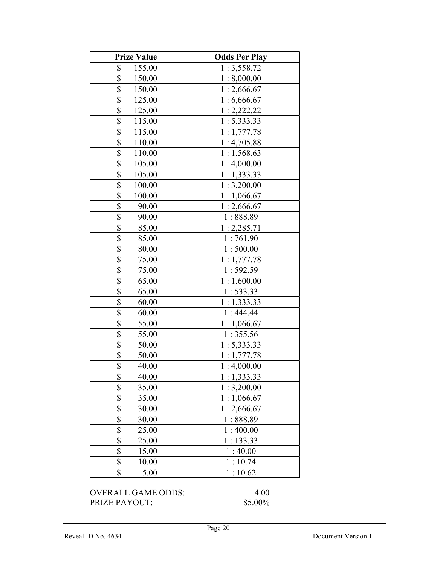| <b>Prize Value</b>      | <b>Odds Per Play</b> |
|-------------------------|----------------------|
| \$<br>155.00            | 1:3,558.72           |
| \$<br>150.00            | 1:8,000.00           |
| \$<br>150.00            | 1:2,666.67           |
| $\frac{1}{2}$<br>125.00 | 1:6,666.67           |
| \$<br>125.00            | 1:2,222.22           |
| \$<br>115.00            | 1:5,333.33           |
| \$<br>115.00            | 1:1,777.78           |
| \$<br>110.00            | 1:4,705.88           |
| \$<br>110.00            | 1:1,568.63           |
| \$<br>105.00            | 1:4,000.00           |
| \$<br>105.00            | 1:1,333.33           |
| \$<br>100.00            | 1:3,200.00           |
| \$<br>100.00            | 1:1,066.67           |
| \$<br>90.00             | 1:2,666.67           |
| \$<br>90.00             | 1:888.89             |
| \$<br>85.00             | 1:2,285.71           |
| \$<br>85.00             | 1:761.90             |
| \$<br>80.00             | 1:500.00             |
| \$<br>75.00             | 1:1,777.78           |
| \$<br>75.00             | 1:592.59             |
| \$<br>65.00             | 1:1,600.00           |
| \$<br>65.00             | 1:533.33             |
| \$<br>60.00             | 1:1,333.33           |
| \$<br>60.00             | 1:444.44             |
| \$<br>55.00             | 1:1,066.67           |
| \$<br>55.00             | 1:355.56             |
| \$<br>50.00             | 1:5,333.33           |
| \$<br>50.00             | 1:1,777.78           |
| \$<br>40.00             | 1:4,000.00           |
| \$<br>40.00             | 1:1,333.33           |
| \$<br>35.00             | 1:3,200.00           |
| \$<br>35.00             | 1:1,066.67           |
| \$<br>30.00             | 1:2,666.67           |
| \$<br>30.00             | 1:888.89             |
| \$<br>25.00             | 1:400.00             |
| \$<br>25.00             | 1:133.33             |
| \$<br>15.00             | 1:40.00              |
| \$<br>10.00             | 1:10.74              |
| \$<br>5.00              | 1:10.62              |
|                         |                      |

OVERALL GAME ODDS: 4.00 PRIZE PAYOUT: 85.00%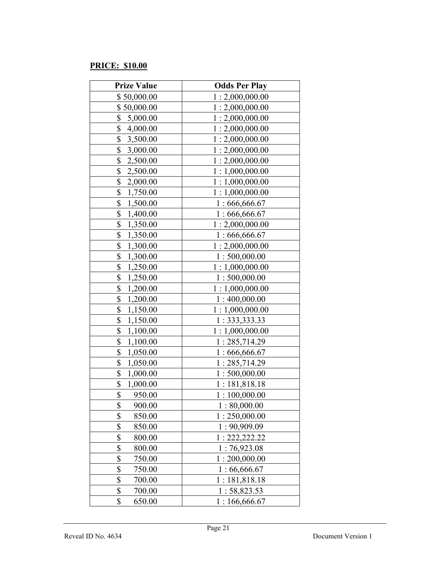## PRICE: \$10.00

| <b>Prize Value</b>                    | <b>Odds Per Play</b> |
|---------------------------------------|----------------------|
| \$50,000.00                           | 1:2,000,000.00       |
| \$50,000.00                           | 1:2,000,000.00       |
| \$<br>5,000.00                        | 1:2,000,000.00       |
| \$<br>4,000.00                        | 1:2,000,000.00       |
| $\boldsymbol{\mathsf{S}}$<br>3,500.00 | 1:2,000,000.00       |
| \$<br>3,000.00                        | 1:2,000,000.00       |
| \$<br>2,500.00                        | 1:2,000,000.00       |
| \$<br>2,500.00                        | 1:1,000,000.00       |
| \$<br>2,000.00                        | 1:1,000,000.00       |
| \$<br>1,750.00                        | 1:1,000,000.00       |
| \$<br>1,500.00                        | 1:666,666.67         |
| \$<br>1,400.00                        | 1:666,666.67         |
| \$<br>1,350.00                        | 1:2,000,000.00       |
| \$<br>1,350.00                        | 1:666,666.67         |
| \$<br>1,300.00                        | 1:2,000,000.00       |
| \$<br>1,300.00                        | 1:500,000.00         |
| \$<br>1,250.00                        | 1:1,000,000.00       |
| \$<br>1,250.00                        | 1:500,000.00         |
| \$<br>1,200.00                        | 1:1,000,000.00       |
| \$<br>1,200.00                        | 1:400,000.00         |
| \$<br>1,150.00                        | 1:1,000,000.00       |
| \$<br>1,150.00                        | 1: 333, 333.33       |
| \$<br>1,100.00                        | 1:1,000,000.00       |
| \$<br>1,100.00                        | 1:285,714.29         |
| \$<br>1,050.00                        | 1:666,666.67         |
| \$<br>1,050.00                        | 1:285,714.29         |
| $\boldsymbol{\mathsf{S}}$<br>1,000.00 | 1:500,000.00         |
| \$<br>1,000.00                        | 1:181,818.18         |
| \$<br>950.00                          | 1:100,000.00         |
| \$<br>900.00                          | 1:80,000.00          |
| \$<br>850.00                          | 1:250,000.00         |
| \$<br>850.00                          | 1:90,909.09          |
| \$<br>800.00                          | 1: 222, 222.22       |
| \$<br>800.00                          | 1:76,923.08          |
| \$<br>750.00                          | 1:200,000.00         |
| \$<br>750.00                          | 1:66,666.67          |
| \$<br>700.00                          | 1:181,818.18         |
| \$<br>700.00                          | 1:58,823.53          |
| \$<br>650.00                          | 1:166,666.67         |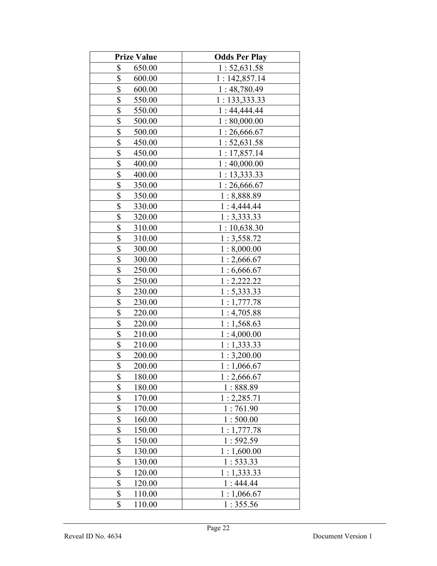| <b>Prize Value</b>      | <b>Odds Per Play</b> |
|-------------------------|----------------------|
| \$<br>650.00            | 1:52,631.58          |
| \$<br>600.00            | 1:142,857.14         |
| \$<br>600.00            | 1:48,780.49          |
| \$<br>550.00            | 1: 133,333.33        |
| \$<br>550.00            | 1:44,444.44          |
| \$<br>500.00            | 1:80,000.00          |
| \$<br>500.00            | 1:26,666.67          |
| \$<br>450.00            | 1:52,631.58          |
| \$<br>450.00            | 1:17,857.14          |
| \$<br>400.00            | 1:40,000.00          |
| \$<br>400.00            | 1: 13,333.33         |
| \$<br>350.00            | 1:26,666.67          |
| \$<br>350.00            | 1:8,888.89           |
| \$<br>330.00            | 1:4,444.44           |
| \$<br>320.00            | 1:3,333.33           |
| \$<br>310.00            | 1:10,638.30          |
| \$<br>310.00            | 1:3,558.72           |
| \$<br>300.00            | 1:8,000.00           |
| \$<br>300.00            | 1:2,666.67           |
| \$<br>250.00            | 1:6,666.67           |
| \$<br>250.00            | 1:2,222.22           |
| \$<br>230.00            | 1: 5,333.33          |
| \$<br>230.00            | 1:1,777.78           |
| \$<br>220.00            | 1:4,705.88           |
| \$<br>220.00            | 1:1,568.63           |
| $\frac{1}{2}$<br>210.00 | 1:4,000.00           |
| $\frac{1}{2}$<br>210.00 | 1:1,333.33           |
| \$<br>200.00            | 1:3,200.00           |
| \$<br>200.00            | 1:1,066.67           |
| \$<br>180.00            | 1:2,666.67           |
| \$<br>180.00            | 1:888.89             |
| \$<br>170.00            | 1:2,285.71           |
| \$<br>170.00            | 1:761.90             |
| \$<br>160.00            | 1:500.00             |
| \$<br>150.00            | 1:1,777.78           |
| \$<br>150.00            | 1:592.59             |
| \$<br>130.00            | 1:1,600.00           |
| \$<br>130.00            | 1:533.33             |
| \$<br>120.00            | 1:1,333.33           |
| \$<br>120.00            | 1:444.44             |
| \$<br>110.00            | 1:1,066.67           |
| \$<br>110.00            | 1:355.56             |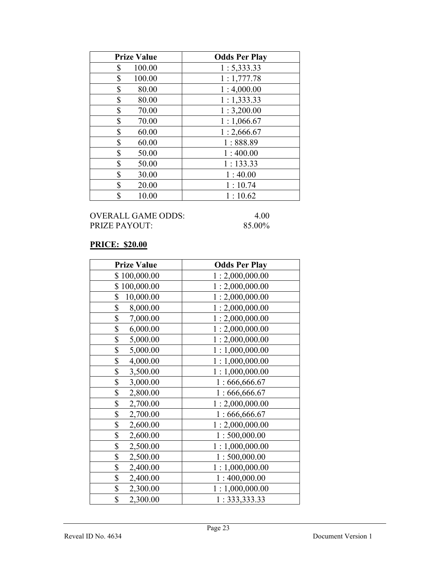| <b>Prize Value</b> | <b>Odds Per Play</b> |
|--------------------|----------------------|
| \$<br>100.00       | 1: 5,333.33          |
| \$<br>100.00       | 1:1,777.78           |
| \$<br>80.00        | 1:4,000.00           |
| \$<br>80.00        | 1:1,333.33           |
| \$<br>70.00        | 1:3,200.00           |
| \$<br>70.00        | 1:1,066.67           |
| \$<br>60.00        | 1:2,666.67           |
| \$<br>60.00        | 1:888.89             |
| \$<br>50.00        | 1:400.00             |
| \$<br>50.00        | 1:133.33             |
| \$<br>30.00        | 1:40.00              |
| \$<br>20.00        | 1:10.74              |
| \$<br>10.00        | 1:10.62              |

## PRICE: \$20.00

| <b>Prize Value</b> | <b>Odds Per Play</b> |
|--------------------|----------------------|
| \$100,000.00       | 1:2,000,000.00       |
| \$100,000.00       | 1:2,000,000.00       |
| \$<br>10,000.00    | 1:2,000,000.00       |
| \$<br>8,000.00     | 1:2,000,000.00       |
| \$<br>7,000.00     | 1:2,000,000.00       |
| \$<br>6,000.00     | 1:2,000,000.00       |
| \$<br>5,000.00     | 1:2,000,000.00       |
| \$<br>5,000.00     | 1:1,000,000.00       |
| \$<br>4,000.00     | 1:1,000,000.00       |
| \$<br>3,500.00     | 1:1,000,000.00       |
| \$<br>3,000.00     | 1:666,666.67         |
| \$<br>2,800.00     | 1:666,666.67         |
| \$<br>2,700.00     | 1:2,000,000.00       |
| \$<br>2,700.00     | 1:666,666.67         |
| \$<br>2,600.00     | 1:2,000,000.00       |
| \$<br>2,600.00     | 1:500,000.00         |
| \$<br>2,500.00     | 1:1,000,000.00       |
| \$<br>2,500.00     | 1:500,000.00         |
| \$<br>2,400.00     | 1:1,000,000.00       |
| \$<br>2,400.00     | 1:400,000.00         |
| \$<br>2,300.00     | 1:1,000,000.00       |
| \$<br>2,300.00     | 1:333,333.33         |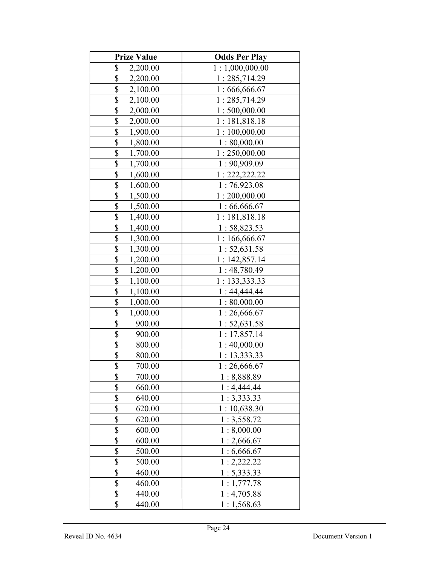| <b>Prize Value</b>                  | <b>Odds Per Play</b> |
|-------------------------------------|----------------------|
| \$<br>2,200.00                      | 1:1,000,000.00       |
| \$<br>2,200.00                      | 1:285,714.29         |
| \$<br>2,100.00                      | 1:666,666.67         |
| \$<br>2,100.00                      | 1:285,714.29         |
| \$<br>2,000.00                      | 1:500,000.00         |
| \$<br>2,000.00                      | 1:181,818.18         |
| \$<br>1,900.00                      | 1:100,000.00         |
| \$<br>1,800.00                      | 1:80,000.00          |
| \$<br>1,700.00                      | 1:250,000.00         |
| \$<br>1,700.00                      | 1:90,909.09          |
| \$<br>1,600.00                      | 1: 222, 222.22       |
| \$<br>1,600.00                      | 1:76,923.08          |
| \$<br>1,500.00                      | 1:200,000.00         |
| \$<br>1,500.00                      | 1:66,666.67          |
| \$<br>1,400.00                      | 1:181,818.18         |
| \$<br>1,400.00                      | 1:58,823.53          |
| \$<br>1,300.00                      | 1:166,666.67         |
| \$<br>1,300.00                      | 1:52,631.58          |
| \$<br>1,200.00                      | 1:142,857.14         |
| \$<br>1,200.00                      | 1:48,780.49          |
| \$<br>1,100.00                      | 1: 133,333.33        |
| \$<br>1,100.00                      | 1:44,444.44          |
| $\frac{1}{2}$<br>1,000.00           | 1:80,000.00          |
| $\overline{\mathbb{S}}$<br>1,000.00 | 1:26,666.67          |
| \$<br>900.00                        | 1:52,631.58          |
| \$<br>900.00                        | 1:17,857.14          |
| \$<br>800.00                        | 1:40,000.00          |
| \$<br>800.00                        | 1:13,333.33          |
| \$<br>700.00                        | 1:26,666.67          |
| \$<br>700.00                        | 1:8,888.89           |
| \$<br>660.00                        | 1:4,444.44           |
| \$<br>640.00                        | 1:3,333.33           |
| \$<br>620.00                        | 1:10,638.30          |
| \$<br>620.00                        | 1:3,558.72           |
| \$<br>600.00                        | 1:8,000.00           |
| \$<br>600.00                        | 1:2,666.67           |
| \$<br>500.00                        | 1:6,666.67           |
| \$<br>500.00                        | 1:2,222.22           |
| \$<br>460.00                        | 1:5,333.33           |
| \$<br>460.00                        | 1:1,777.78           |
| \$<br>440.00                        | 1:4,705.88           |
| \$<br>440.00                        | 1:1,568.63           |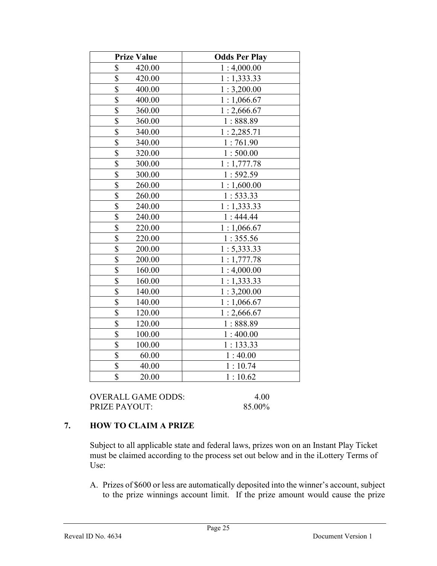| <b>Prize Value</b>                | <b>Odds Per Play</b> |
|-----------------------------------|----------------------|
| \$<br>420.00                      | 1:4,000.00           |
| \$<br>420.00                      | 1:1,333.33           |
| $\overline{\$}$<br>400.00         | 1:3,200.00           |
| \$<br>400.00                      | 1:1,066.67           |
| $\overline{\$}$<br>360.00         | 1:2,666.67           |
| \$<br>360.00                      | 1:888.89             |
| $\overline{\mathbb{S}}$<br>340.00 | 1:2,285.71           |
| $\overline{\$}$<br>340.00         | 1:761.90             |
| $\overline{\$}$<br>320.00         | 1:500.00             |
| $\overline{\$}$<br>300.00         | 1:1,777.78           |
| $\overline{\$}$<br>300.00         | 1:592.59             |
| $\overline{\$}$<br>260.00         | 1:1,600.00           |
| \$<br>260.00                      | 1:533.33             |
| $\overline{\$}$<br>240.00         | 1:1,333.33           |
| \$<br>240.00                      | 1:444.44             |
| \$<br>220.00                      | 1:1,066.67           |
| $\overline{\$}$<br>220.00         | 1:355.56             |
| $\overline{\$}$<br>200.00         | 1: 5,333.33          |
| \$<br>200.00                      | 1:1,777.78           |
| $\overline{\$}$<br>160.00         | 1:4,000.00           |
| \$<br>160.00                      | 1:1,333.33           |
| \$<br>140.00                      | 1:3,200.00           |
| $\overline{\$}$<br>140.00         | 1:1,066.67           |
| $\overline{\$}$<br>120.00         | 1:2,666.67           |
| $\overline{\mathbb{S}}$<br>120.00 | 1:888.89             |
| $\overline{\$}$<br>100.00         | 1:400.00             |
| $\overline{\mathbb{S}}$<br>100.00 | 1:133.33             |
| \$<br>60.00                       | 1:40.00              |
| $\overline{\$}$<br>40.00          | 1:10.74              |
| 20.00                             | 1:10.62              |
| \$                                |                      |

OVERALL GAME ODDS: 4.00 PRIZE PAYOUT: 85.00%

## 7. HOW TO CLAIM A PRIZE

Subject to all applicable state and federal laws, prizes won on an Instant Play Ticket must be claimed according to the process set out below and in the iLottery Terms of Use:

A. Prizes of \$600 or less are automatically deposited into the winner's account, subject to the prize winnings account limit. If the prize amount would cause the prize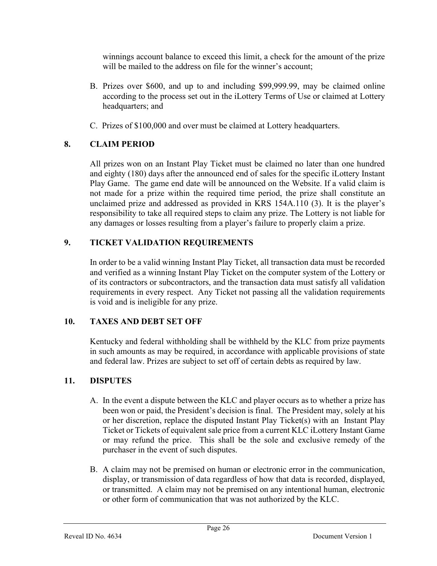winnings account balance to exceed this limit, a check for the amount of the prize will be mailed to the address on file for the winner's account;

- B. Prizes over \$600, and up to and including \$99,999.99, may be claimed online according to the process set out in the iLottery Terms of Use or claimed at Lottery headquarters; and
- C. Prizes of \$100,000 and over must be claimed at Lottery headquarters.

# 8. CLAIM PERIOD

 All prizes won on an Instant Play Ticket must be claimed no later than one hundred and eighty (180) days after the announced end of sales for the specific iLottery Instant Play Game. The game end date will be announced on the Website. If a valid claim is not made for a prize within the required time period, the prize shall constitute an unclaimed prize and addressed as provided in KRS 154A.110 (3). It is the player's responsibility to take all required steps to claim any prize. The Lottery is not liable for any damages or losses resulting from a player's failure to properly claim a prize.

## 9. TICKET VALIDATION REQUIREMENTS

In order to be a valid winning Instant Play Ticket, all transaction data must be recorded and verified as a winning Instant Play Ticket on the computer system of the Lottery or of its contractors or subcontractors, and the transaction data must satisfy all validation requirements in every respect. Any Ticket not passing all the validation requirements is void and is ineligible for any prize.

## 10. TAXES AND DEBT SET OFF

 Kentucky and federal withholding shall be withheld by the KLC from prize payments in such amounts as may be required, in accordance with applicable provisions of state and federal law. Prizes are subject to set off of certain debts as required by law.

# 11. DISPUTES

- A. In the event a dispute between the KLC and player occurs as to whether a prize has been won or paid, the President's decision is final. The President may, solely at his or her discretion, replace the disputed Instant Play Ticket(s) with an Instant Play Ticket or Tickets of equivalent sale price from a current KLC iLottery Instant Game or may refund the price. This shall be the sole and exclusive remedy of the purchaser in the event of such disputes.
- B. A claim may not be premised on human or electronic error in the communication, display, or transmission of data regardless of how that data is recorded, displayed, or transmitted. A claim may not be premised on any intentional human, electronic or other form of communication that was not authorized by the KLC.